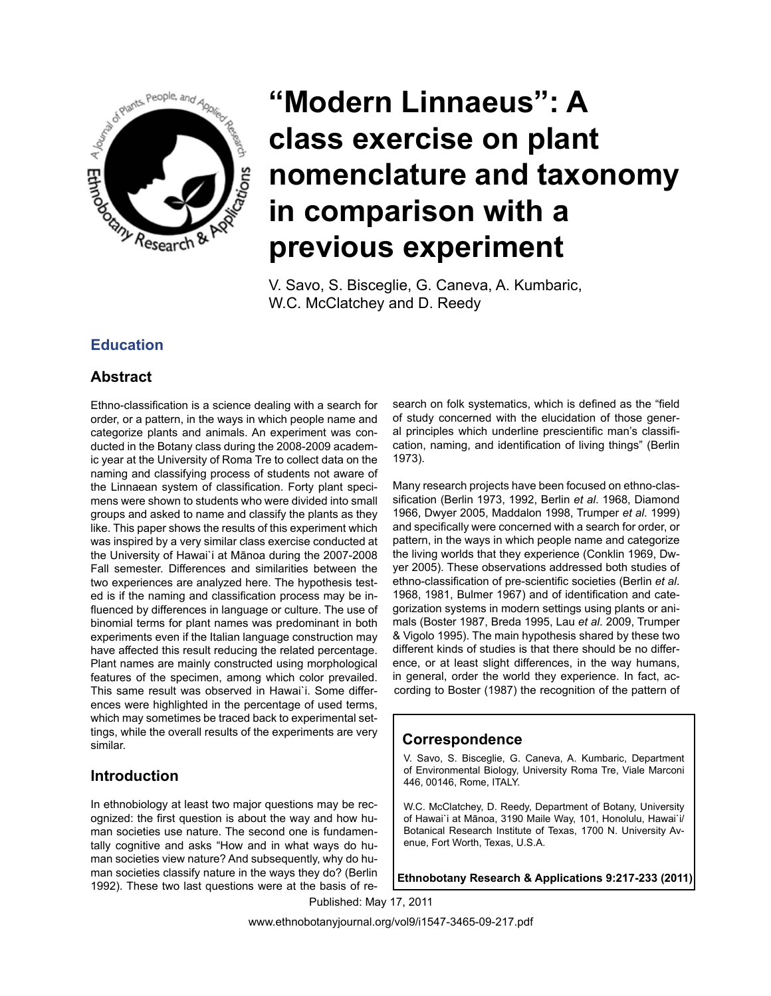

# **"Modern Linnaeus": A class exercise on plant nomenclature and taxonomy in comparison with a previous experiment**

V. Savo, S. Bisceglie, G. Caneva, A. Kumbaric, W.C. McClatchey and D. Reedy

### **Education**

#### **Abstract**

Ethno-classification is a science dealing with a search for order, or a pattern, in the ways in which people name and categorize plants and animals. An experiment was conducted in the Botany class during the 2008-2009 academic year at the University of Roma Tre to collect data on the naming and classifying process of students not aware of the Linnaean system of classification. Forty plant specimens were shown to students who were divided into small groups and asked to name and classify the plants as they like. This paper shows the results of this experiment which was inspired by a very similar class exercise conducted at the University of Hawai`i at Mānoa during the 2007-2008 Fall semester. Differences and similarities between the two experiences are analyzed here. The hypothesis tested is if the naming and classification process may be influenced by differences in language or culture. The use of binomial terms for plant names was predominant in both experiments even if the Italian language construction may have affected this result reducing the related percentage. Plant names are mainly constructed using morphological features of the specimen, among which color prevailed. This same result was observed in Hawai`i. Some differences were highlighted in the percentage of used terms, which may sometimes be traced back to experimental settings, while the overall results of the experiments are very similar.

#### **Introduction**

In ethnobiology at least two major questions may be recognized: the first question is about the way and how human societies use nature. The second one is fundamentally cognitive and asks "How and in what ways do human societies view nature? And subsequently, why do human societies classify nature in the ways they do? (Berlin 1992). These two last questions were at the basis of research on folk systematics, which is defined as the "field of study concerned with the elucidation of those general principles which underline prescientific man's classification, naming, and identification of living things" (Berlin 1973).

Many research projects have been focused on ethno-classification (Berlin 1973, 1992, Berlin *et al*. 1968, Diamond 1966, Dwyer 2005, Maddalon 1998, Trumper *et al*. 1999) and specifically were concerned with a search for order, or pattern, in the ways in which people name and categorize the living worlds that they experience (Conklin 1969, Dwyer 2005). These observations addressed both studies of ethno-classification of pre-scientific societies (Berlin *et al*. 1968, 1981, Bulmer 1967) and of identification and categorization systems in modern settings using plants or animals (Boster 1987, Breda 1995, Lau *et al*. 2009, Trumper & Vigolo 1995). The main hypothesis shared by these two different kinds of studies is that there should be no difference, or at least slight differences, in the way humans, in general, order the world they experience. In fact, according to Boster (1987) the recognition of the pattern of

#### **Correspondence**

V. Savo, S. Bisceglie, G. Caneva, A. Kumbaric, Department of Environmental Biology, University Roma Tre, Viale Marconi 446, 00146, Rome, ITALY.

W.C. McClatchey, D. Reedy, Department of Botany, University of Hawai`i at Mānoa, 3190 Maile Way, 101, Honolulu, Hawai`i/ Botanical Research Institute of Texas, 1700 N. University Avenue, Fort Worth, Texas, U.S.A.

**Ethnobotany Research & Applications 9:217-233 (2011)**

Published: May 17, 2011

www.ethnobotanyjournal.org/vol9/i1547-3465-09-217.pdf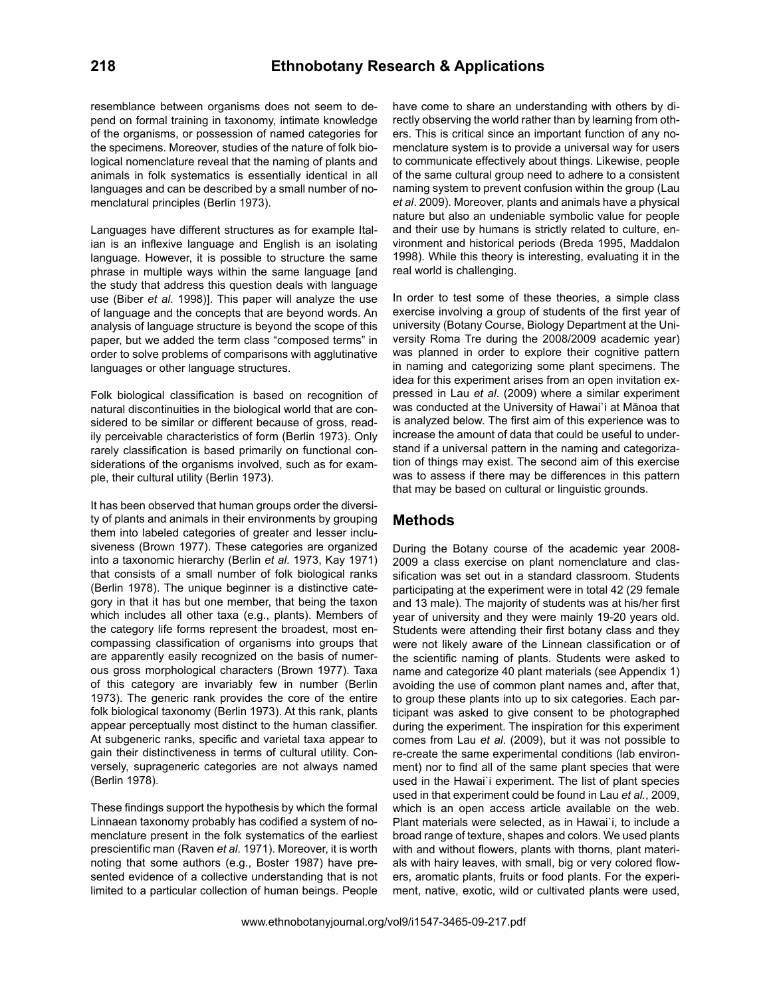resemblance between organisms does not seem to depend on formal training in taxonomy, intimate knowledge of the organisms, or possession of named categories for the specimens. Moreover, studies of the nature of folk biological nomenclature reveal that the naming of plants and animals in folk systematics is essentially identical in all languages and can be described by a small number of nomenclatural principles (Berlin 1973).

Languages have different structures as for example Italian is an inflexive language and English is an isolating language. However, it is possible to structure the same phrase in multiple ways within the same language [and the study that address this question deals with language use (Biber *et al*. 1998)]. This paper will analyze the use of language and the concepts that are beyond words. An analysis of language structure is beyond the scope of this paper, but we added the term class "composed terms" in order to solve problems of comparisons with agglutinative languages or other language structures.

Folk biological classification is based on recognition of natural discontinuities in the biological world that are considered to be similar or different because of gross, readily perceivable characteristics of form (Berlin 1973). Only rarely classification is based primarily on functional considerations of the organisms involved, such as for example, their cultural utility (Berlin 1973).

It has been observed that human groups order the diversity of plants and animals in their environments by grouping them into labeled categories of greater and lesser inclusiveness (Brown 1977). These categories are organized into a taxonomic hierarchy (Berlin *et al*. 1973, Kay 1971) that consists of a small number of folk biological ranks (Berlin 1978). The unique beginner is a distinctive category in that it has but one member, that being the taxon which includes all other taxa (e.g., plants). Members of the category life forms represent the broadest, most encompassing classification of organisms into groups that are apparently easily recognized on the basis of numerous gross morphological characters (Brown 1977). Taxa of this category are invariably few in number (Berlin 1973). The generic rank provides the core of the entire folk biological taxonomy (Berlin 1973). At this rank, plants appear perceptually most distinct to the human classifier. At subgeneric ranks, specific and varietal taxa appear to gain their distinctiveness in terms of cultural utility. Conversely, suprageneric categories are not always named (Berlin 1978).

These findings support the hypothesis by which the formal Linnaean taxonomy probably has codified a system of nomenclature present in the folk systematics of the earliest prescientific man (Raven *et al*. 1971). Moreover, it is worth noting that some authors (e.g., Boster 1987) have presented evidence of a collective understanding that is not limited to a particular collection of human beings. People

have come to share an understanding with others by directly observing the world rather than by learning from others. This is critical since an important function of any nomenclature system is to provide a universal way for users to communicate effectively about things. Likewise, people of the same cultural group need to adhere to a consistent naming system to prevent confusion within the group (Lau *et al*. 2009). Moreover, plants and animals have a physical nature but also an undeniable symbolic value for people and their use by humans is strictly related to culture, environment and historical periods (Breda 1995, Maddalon 1998). While this theory is interesting, evaluating it in the real world is challenging.

In order to test some of these theories, a simple class exercise involving a group of students of the first year of university (Botany Course, Biology Department at the University Roma Tre during the 2008/2009 academic year) was planned in order to explore their cognitive pattern in naming and categorizing some plant specimens. The idea for this experiment arises from an open invitation expressed in Lau *et al*. (2009) where a similar experiment was conducted at the University of Hawai`i at Mānoa that is analyzed below. The first aim of this experience was to increase the amount of data that could be useful to understand if a universal pattern in the naming and categorization of things may exist. The second aim of this exercise was to assess if there may be differences in this pattern that may be based on cultural or linguistic grounds.

#### **Methods**

During the Botany course of the academic year 2008- 2009 a class exercise on plant nomenclature and classification was set out in a standard classroom. Students participating at the experiment were in total 42 (29 female and 13 male). The majority of students was at his/her first year of university and they were mainly 19-20 years old. Students were attending their first botany class and they were not likely aware of the Linnean classification or of the scientific naming of plants. Students were asked to name and categorize 40 plant materials (see Appendix 1) avoiding the use of common plant names and, after that, to group these plants into up to six categories. Each participant was asked to give consent to be photographed during the experiment. The inspiration for this experiment comes from Lau *et al*. (2009), but it was not possible to re-create the same experimental conditions (lab environment) nor to find all of the same plant species that were used in the Hawai`i experiment. The list of plant species used in that experiment could be found in Lau *et al.*, 2009, which is an open access article available on the web. Plant materials were selected, as in Hawai`i, to include a broad range of texture, shapes and colors. We used plants with and without flowers, plants with thorns, plant materials with hairy leaves, with small, big or very colored flowers, aromatic plants, fruits or food plants. For the experiment, native, exotic, wild or cultivated plants were used,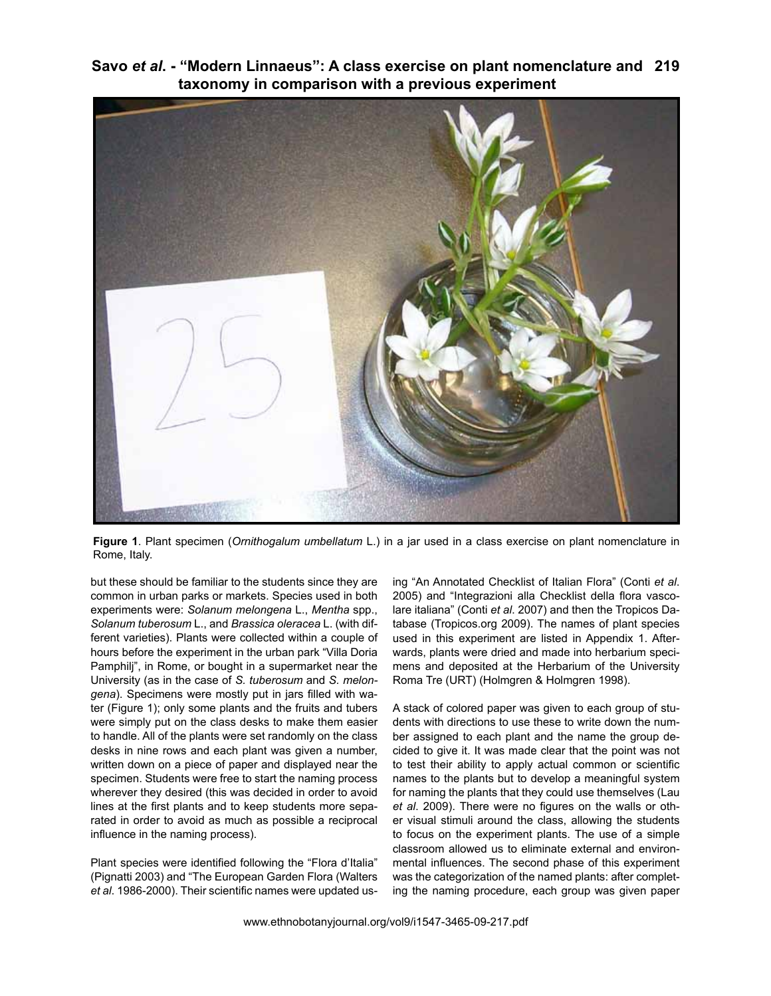**Savo** *et al***. - "Modern Linnaeus": A class exercise on plant nomenclature and 219 taxonomy in comparison with a previous experiment** 



**Figure 1**. Plant specimen (*Ornithogalum umbellatum* L.) in a jar used in a class exercise on plant nomenclature in Rome, Italy.

but these should be familiar to the students since they are common in urban parks or markets. Species used in both experiments were: *Solanum melongena* L., *Mentha* spp., *Solanum tuberosum* L., and *Brassica oleracea* L. (with different varieties). Plants were collected within a couple of hours before the experiment in the urban park "Villa Doria Pamphilj", in Rome, or bought in a supermarket near the University (as in the case of *S. tuberosum* and *S. melongena*). Specimens were mostly put in jars filled with water (Figure 1); only some plants and the fruits and tubers were simply put on the class desks to make them easier to handle. All of the plants were set randomly on the class desks in nine rows and each plant was given a number, written down on a piece of paper and displayed near the specimen. Students were free to start the naming process wherever they desired (this was decided in order to avoid lines at the first plants and to keep students more separated in order to avoid as much as possible a reciprocal influence in the naming process).

Plant species were identified following the "Flora d'Italia" (Pignatti 2003) and "The European Garden Flora (Walters *et al*. 1986-2000). Their scientific names were updated using "An Annotated Checklist of Italian Flora" (Conti *et al*. 2005) and "Integrazioni alla Checklist della flora vascolare italiana" (Conti *et al*. 2007) and then the Tropicos Database (Tropicos.org 2009). The names of plant species used in this experiment are listed in Appendix 1. Afterwards, plants were dried and made into herbarium specimens and deposited at the Herbarium of the University Roma Tre (URT) (Holmgren & Holmgren 1998).

A stack of colored paper was given to each group of students with directions to use these to write down the number assigned to each plant and the name the group decided to give it. It was made clear that the point was not to test their ability to apply actual common or scientific names to the plants but to develop a meaningful system for naming the plants that they could use themselves (Lau *et al*. 2009). There were no figures on the walls or other visual stimuli around the class, allowing the students to focus on the experiment plants. The use of a simple classroom allowed us to eliminate external and environmental influences. The second phase of this experiment was the categorization of the named plants: after completing the naming procedure, each group was given paper

www.ethnobotanyjournal.org/vol9/i1547-3465-09-217.pdf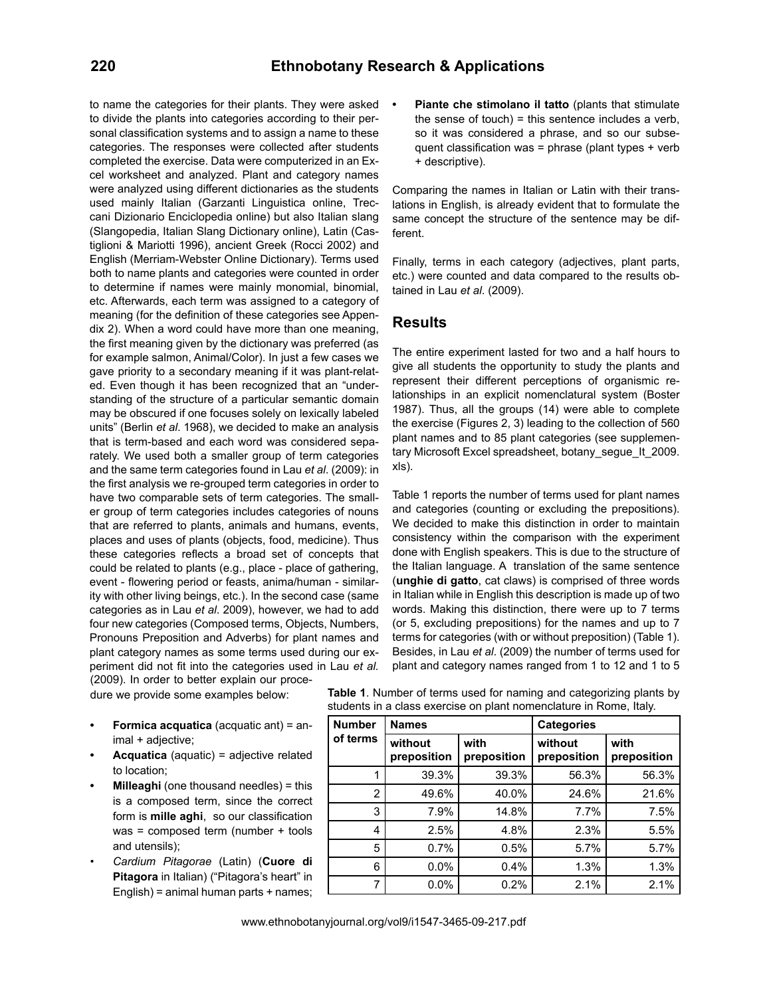#### **220 Ethnobotany Research & Applications**

to name the categories for their plants. They were asked to divide the plants into categories according to their personal classification systems and to assign a name to these categories. The responses were collected after students completed the exercise. Data were computerized in an Excel worksheet and analyzed. Plant and category names were analyzed using different dictionaries as the students used mainly Italian (Garzanti Linguistica online, Treccani Dizionario Enciclopedia online) but also Italian slang (Slangopedia, Italian Slang Dictionary online), Latin (Castiglioni & Mariotti 1996), ancient Greek (Rocci 2002) and English (Merriam-Webster Online Dictionary). Terms used both to name plants and categories were counted in order to determine if names were mainly monomial, binomial, etc. Afterwards, each term was assigned to a category of meaning (for the definition of these categories see Appendix 2). When a word could have more than one meaning, the first meaning given by the dictionary was preferred (as for example salmon, Animal/Color). In just a few cases we gave priority to a secondary meaning if it was plant-related. Even though it has been recognized that an "understanding of the structure of a particular semantic domain may be obscured if one focuses solely on lexically labeled units" (Berlin *et al*. 1968), we decided to make an analysis that is term-based and each word was considered separately. We used both a smaller group of term categories and the same term categories found in Lau *et al*. (2009): in the first analysis we re-grouped term categories in order to have two comparable sets of term categories. The smaller group of term categories includes categories of nouns that are referred to plants, animals and humans, events, places and uses of plants (objects, food, medicine). Thus these categories reflects a broad set of concepts that could be related to plants (e.g., place - place of gathering, event - flowering period or feasts, anima/human - similarity with other living beings, etc.). In the second case (same categories as in Lau *et al*. 2009), however, we had to add four new categories (Composed terms, Objects, Numbers, Pronouns Preposition and Adverbs) for plant names and plant category names as some terms used during our experiment did not fit into the categories used in Lau *et al.* (2009). In order to better explain our proce-

dure we provide some examples below:

- **Formica acquatica** (acquatic ant) = animal + adjective;
- **Acquatica** (aquatic) = adjective related to location;
- **Milleaghi** (one thousand needles) = this is a composed term, since the correct form is **mille aghi**, so our classification was = composed term (number + tools and utensils);
- *• Cardium Pitagorae* (Latin) (**Cuore di Pitagora** in Italian) ("Pitagora's heart" in English) = animal human parts + names;

Piante che stimolano il tatto (plants that stimulate the sense of touch) = this sentence includes a verb, so it was considered a phrase, and so our subsequent classification was = phrase (plant types + verb + descriptive).

Comparing the names in Italian or Latin with their translations in English, is already evident that to formulate the same concept the structure of the sentence may be different.

Finally, terms in each category (adjectives, plant parts, etc.) were counted and data compared to the results obtained in Lau *et al*. (2009).

#### **Results**

The entire experiment lasted for two and a half hours to give all students the opportunity to study the plants and represent their different perceptions of organismic relationships in an explicit nomenclatural system (Boster 1987). Thus, all the groups (14) were able to complete the exercise (Figures 2, 3) leading to the collection of 560 plant names and to 85 plant categories (see supplementary Microsoft Excel spreadsheet, botany\_seque\_It\_2009. xls).

Table 1 reports the number of terms used for plant names and categories (counting or excluding the prepositions). We decided to make this distinction in order to maintain consistency within the comparison with the experiment done with English speakers. This is due to the structure of the Italian language. A translation of the same sentence (**unghie di gatto**, cat claws) is comprised of three words in Italian while in English this description is made up of two words. Making this distinction, there were up to 7 terms (or 5, excluding prepositions) for the names and up to 7 terms for categories (with or without preposition) (Table 1). Besides, in Lau *et al*. (2009) the number of terms used for plant and category names ranged from 1 to 12 and 1 to 5

| <b>Number</b>  | <b>Names</b>           |                     | <b>Categories</b>      |                     |  |
|----------------|------------------------|---------------------|------------------------|---------------------|--|
| of terms       | without<br>preposition | with<br>preposition | without<br>preposition | with<br>preposition |  |
|                | 39.3%                  | 39.3%               | 56.3%                  | 56.3%               |  |
| $\overline{2}$ | 49.6%                  | 40.0%               | 24.6%                  | 21.6%               |  |
| 3              | 7.9%                   | 14.8%               | 7.7%                   | 7.5%                |  |
| 4              | 2.5%                   | 4.8%                | 2.3%                   | 5.5%                |  |
| 5              | 0.7%                   | 0.5%                | 5.7%                   | 5.7%                |  |
| 6              | 0.0%                   | 0.4%                | 1.3%                   | 1.3%                |  |
| 7              | 0.0%                   | 0.2%                | 2.1%                   | 2.1%                |  |

**Table 1**. Number of terms used for naming and categorizing plants by students in a class exercise on plant nomenclature in Rome, Italy.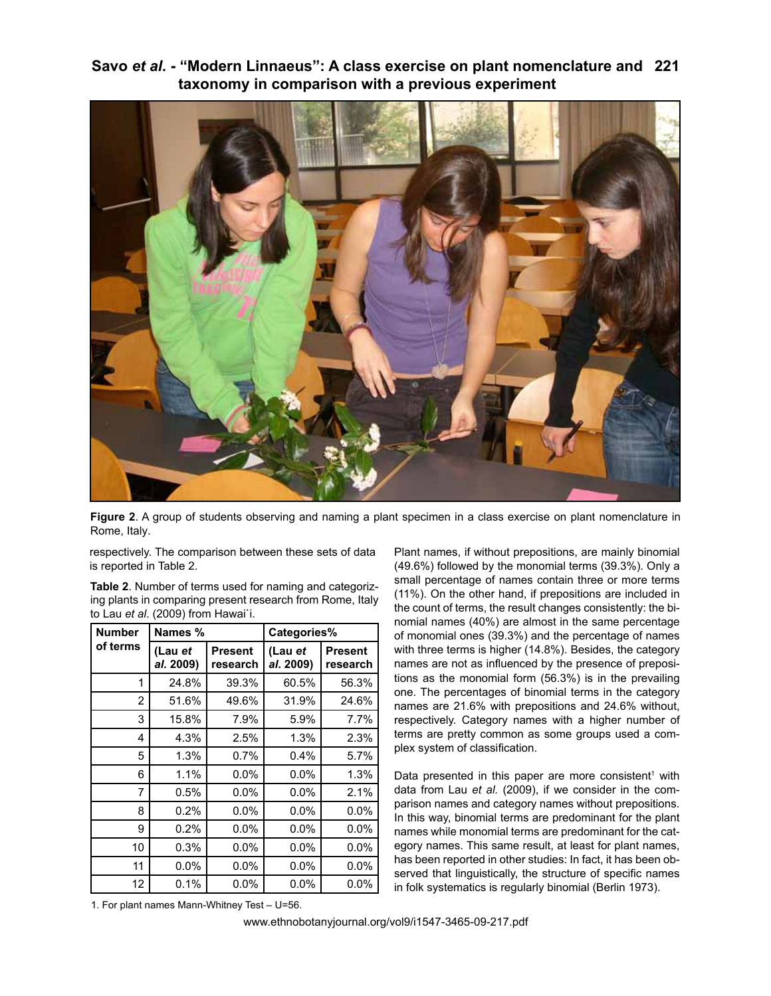**Savo** *et al***. - "Modern Linnaeus": A class exercise on plant nomenclature and 221 taxonomy in comparison with a previous experiment** 



**Figure 2**. A group of students observing and naming a plant specimen in a class exercise on plant nomenclature in Rome, Italy.

respectively. The comparison between these sets of data is reported in Table 2.

**Table 2**. Number of terms used for naming and categorizing plants in comparing present research from Rome, Italy to Lau *et al*. (2009) from Hawai`i.

| <b>Number</b> | Names %              |                            | Categories%          |                            |  |
|---------------|----------------------|----------------------------|----------------------|----------------------------|--|
| of terms      | (Lau et<br>al. 2009) | <b>Present</b><br>research | (Lau et<br>al. 2009) | <b>Present</b><br>research |  |
| 1             | 24.8%                | 39.3%                      | 60.5%                | 56.3%                      |  |
| 2             | 51.6%                | 49.6%                      | 31.9%                | 24.6%                      |  |
| 3             | 15.8%                | 7.9%                       | 5.9%                 | 7.7%                       |  |
| 4             | 4.3%                 | 2.5%                       | 1.3%                 | 2.3%                       |  |
| 5             | 1.3%                 | 0.7%                       | 0.4%                 | 5.7%                       |  |
| 6             | 1.1%                 | $0.0\%$                    | $0.0\%$              | 1.3%                       |  |
| 7             | 0.5%                 | $0.0\%$                    | $0.0\%$              | 2.1%                       |  |
| 8             | 0.2%                 | $0.0\%$                    | $0.0\%$              | 0.0%                       |  |
| 9             | 0.2%                 | $0.0\%$                    | $0.0\%$              | 0.0%                       |  |
| 10            | 0.3%                 | $0.0\%$                    | $0.0\%$              | 0.0%                       |  |
| 11            | $0.0\%$              | $0.0\%$                    | $0.0\%$              | 0.0%                       |  |
| 12            | 0.1%                 | $0.0\%$                    | $0.0\%$              | $0.0\%$                    |  |

Plant names, if without prepositions, are mainly binomial (49.6%) followed by the monomial terms (39.3%). Only a small percentage of names contain three or more terms (11%). On the other hand, if prepositions are included in the count of terms, the result changes consistently: the binomial names (40%) are almost in the same percentage of monomial ones (39.3%) and the percentage of names with three terms is higher (14.8%). Besides, the category names are not as influenced by the presence of prepositions as the monomial form (56.3%) is in the prevailing one. The percentages of binomial terms in the category names are 21.6% with prepositions and 24.6% without, respectively. Category names with a higher number of terms are pretty common as some groups used a complex system of classification.

Data presented in this paper are more consistent<sup>1</sup> with data from Lau *et al.* (2009), if we consider in the comparison names and category names without prepositions. In this way, binomial terms are predominant for the plant names while monomial terms are predominant for the category names. This same result, at least for plant names, has been reported in other studies: In fact, it has been observed that linguistically, the structure of specific names in folk systematics is regularly binomial (Berlin 1973).

1. For plant names Mann-Whitney Test – U=56.

www.ethnobotanyjournal.org/vol9/i1547-3465-09-217.pdf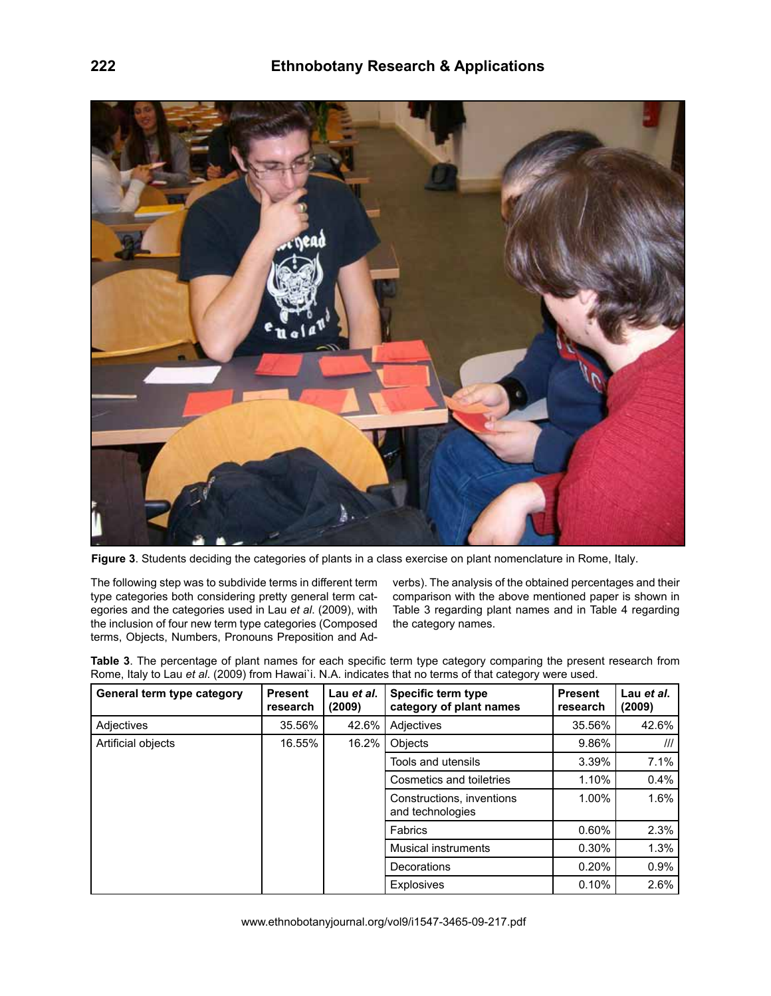

**Figure 3**. Students deciding the categories of plants in a class exercise on plant nomenclature in Rome, Italy.

The following step was to subdivide terms in different term type categories both considering pretty general term categories and the categories used in Lau *et al*. (2009), with the inclusion of four new term type categories (Composed terms, Objects, Numbers, Pronouns Preposition and Ad-

verbs). The analysis of the obtained percentages and their comparison with the above mentioned paper is shown in Table 3 regarding plant names and in Table 4 regarding the category names.

**Table 3**. The percentage of plant names for each specific term type category comparing the present research from Rome, Italy to Lau *et al*. (2009) from Hawai`i. N.A. indicates that no terms of that category were used.

| General term type category | <b>Present</b><br>research | Lau et al.<br>(2009) | Specific term type<br>category of plant names | <b>Present</b><br>research | Lau et al.<br>(2009)    |
|----------------------------|----------------------------|----------------------|-----------------------------------------------|----------------------------|-------------------------|
| Adjectives                 | 35.56%                     | 42.6%                | Adjectives                                    | 35.56%                     | 42.6%                   |
| Artificial objects         | 16.55%                     | 16.2%                | Objects                                       | 9.86%                      | $^{\prime\prime\prime}$ |
|                            |                            |                      | Tools and utensils                            | 3.39%                      | 7.1%                    |
|                            |                            |                      | Cosmetics and toiletries                      | 1.10%                      | 0.4%                    |
|                            |                            |                      | Constructions, inventions<br>and technologies | 1.00%                      | 1.6%                    |
|                            |                            |                      | Fabrics                                       | 0.60%                      | 2.3%                    |
|                            |                            |                      | Musical instruments                           | 0.30%                      | 1.3%                    |
|                            |                            |                      | Decorations                                   | 0.20%                      | 0.9%                    |
|                            |                            |                      | <b>Explosives</b>                             | 0.10%                      | 2.6%                    |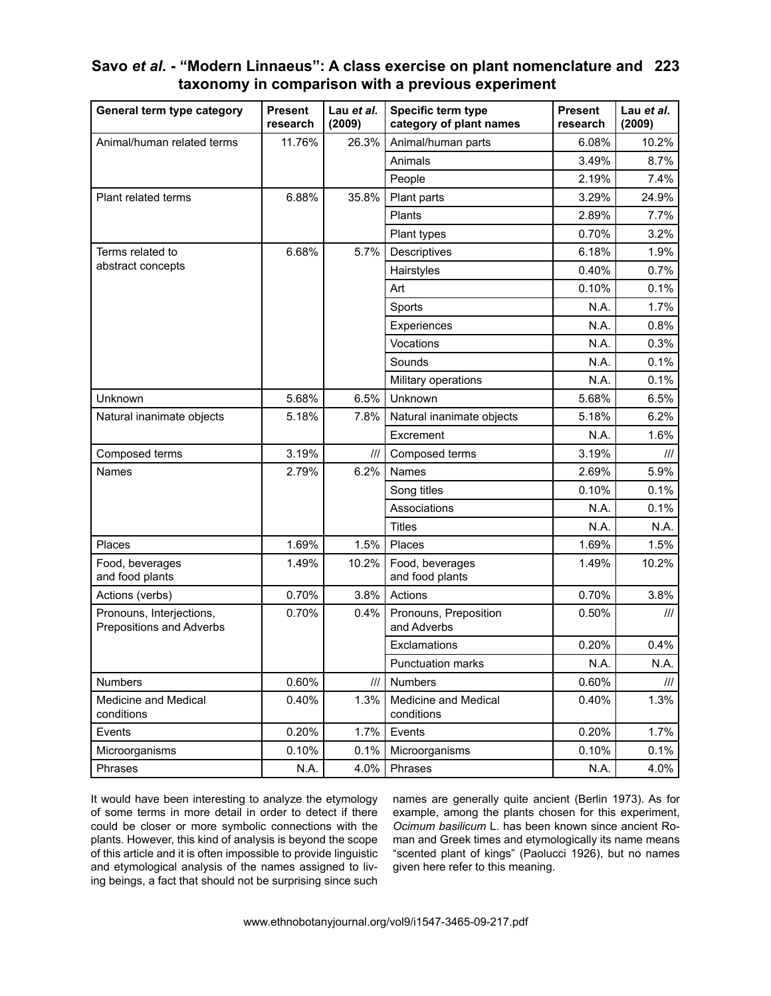| Savo et al. - "Modern Linnaeus": A class exercise on plant nomenclature and 223 |  |
|---------------------------------------------------------------------------------|--|
| taxonomy in comparison with a previous experiment                               |  |

| General term type category                           | <b>Present</b><br>research | Lau et al.<br>(2009) | Specific term type<br><b>Present</b><br>category of plant names<br>research |       | Lau et al.<br>(2009)            |
|------------------------------------------------------|----------------------------|----------------------|-----------------------------------------------------------------------------|-------|---------------------------------|
| Animal/human related terms                           | 11.76%                     | 26.3%                | Animal/human parts                                                          | 6.08% | 10.2%                           |
|                                                      |                            |                      | Animals                                                                     | 3.49% | 8.7%                            |
|                                                      |                            |                      | People                                                                      | 2.19% | 7.4%                            |
| Plant related terms                                  | 6.88%                      | 35.8%                | Plant parts                                                                 | 3.29% | 24.9%                           |
|                                                      |                            |                      | Plants                                                                      | 2.89% | 7.7%                            |
|                                                      |                            |                      | Plant types                                                                 | 0.70% | 3.2%                            |
| Terms related to                                     | 6.68%                      | 5.7%                 | Descriptives                                                                | 6.18% | 1.9%                            |
| abstract concepts                                    |                            |                      | Hairstyles                                                                  | 0.40% | 0.7%                            |
|                                                      |                            |                      | Art                                                                         | 0.10% | 0.1%                            |
|                                                      |                            |                      | Sports                                                                      | N.A.  | 1.7%                            |
|                                                      |                            |                      | Experiences                                                                 | N.A.  | 0.8%                            |
|                                                      |                            |                      | Vocations                                                                   | N.A.  | 0.3%                            |
|                                                      |                            |                      | Sounds                                                                      | N.A.  | 0.1%                            |
|                                                      |                            |                      | Military operations                                                         | N.A.  | 0.1%                            |
| Unknown                                              | 5.68%                      | 6.5%                 | Unknown                                                                     | 5.68% | 6.5%                            |
| Natural inanimate objects                            | 5.18%                      | 7.8%                 | Natural inanimate objects                                                   | 5.18% | 6.2%                            |
|                                                      |                            |                      | Excrement                                                                   | N.A.  | 1.6%                            |
| Composed terms                                       | 3.19%                      | III                  | Composed terms                                                              | 3.19% | $\frac{1}{2}$                   |
| Names                                                | 2.79%                      | 6.2%                 | Names                                                                       | 2.69% | 5.9%                            |
|                                                      |                            |                      | Song titles                                                                 | 0.10% | 0.1%                            |
|                                                      |                            |                      | Associations                                                                | N.A.  | 0.1%                            |
|                                                      |                            |                      | <b>Titles</b>                                                               | N.A.  | N.A.                            |
| Places                                               | 1.69%                      | 1.5%                 | Places                                                                      | 1.69% | 1.5%                            |
| Food, beverages<br>and food plants                   | 1.49%                      | 10.2%                | Food, beverages<br>and food plants                                          | 1.49% | 10.2%                           |
| Actions (verbs)                                      | 0.70%                      | 3.8%                 | Actions                                                                     | 0.70% | 3.8%                            |
| Pronouns, Interjections,<br>Prepositions and Adverbs | 0.70%                      | 0.4%                 | Pronouns, Preposition<br>and Adverbs                                        | 0.50% | $\ensuremath{/\! \! / \! \! /}$ |
|                                                      |                            |                      | Exclamations                                                                | 0.20% | 0.4%                            |
|                                                      |                            |                      | <b>Punctuation marks</b>                                                    | N.A.  | N.A.                            |
| <b>Numbers</b>                                       | 0.60%                      | III                  | Numbers                                                                     | 0.60% | III                             |
| Medicine and Medical<br>conditions                   | 0.40%                      | 1.3%                 | Medicine and Medical<br>conditions                                          | 0.40% | 1.3%                            |
| Events                                               | 0.20%                      | 1.7%                 | Events                                                                      | 0.20% | 1.7%                            |
| Microorganisms                                       | 0.10%                      | 0.1%                 | Microorganisms                                                              | 0.10% | 0.1%                            |
| Phrases                                              | N.A.                       | 4.0%                 | Phrases                                                                     | N.A.  | 4.0%                            |

It would have been interesting to analyze the etymology of some terms in more detail in order to detect if there could be closer or more symbolic connections with the plants. However, this kind of analysis is beyond the scope of this article and it is often impossible to provide linguistic and etymological analysis of the names assigned to living beings, a fact that should not be surprising since such names are generally quite ancient (Berlin 1973). As for example, among the plants chosen for this experiment, *Ocimum basilicum* L. has been known since ancient Roman and Greek times and etymologically its name means "scented plant of kings" (Paolucci 1926), but no names given here refer to this meaning.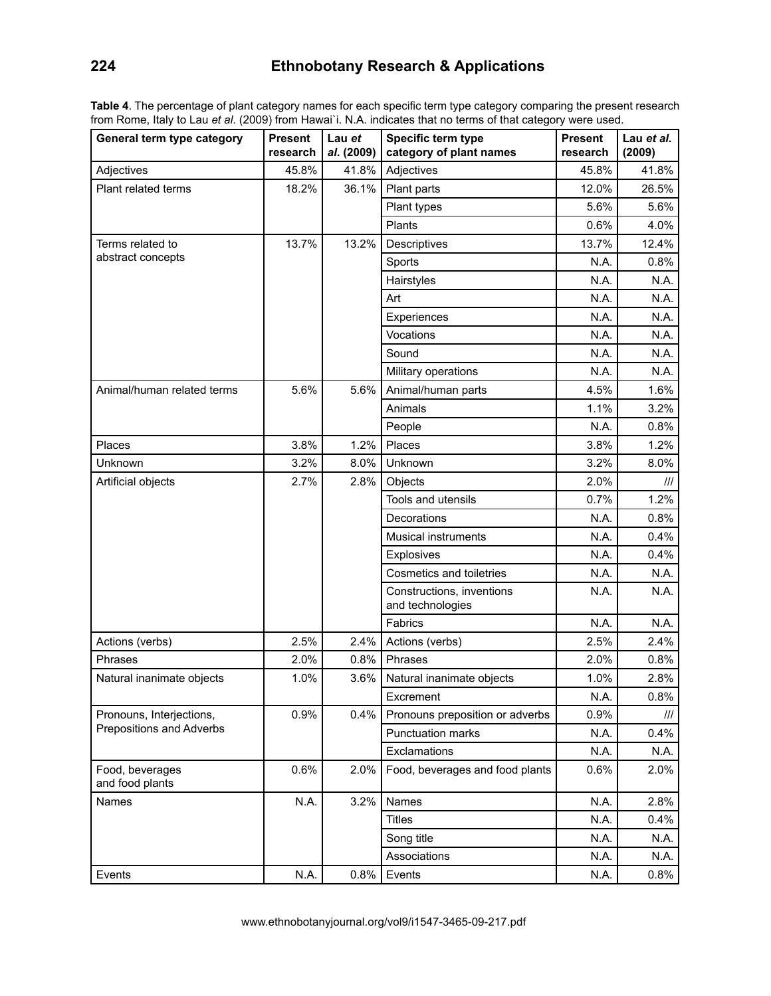# **224 Ethnobotany Research & Applications**

**Table 4**. The percentage of plant category names for each specific term type category comparing the present research from Rome, Italy to Lau *et al*. (2009) from Hawai`i. N.A. indicates that no terms of that category were used.

| General term type category         | <b>Present</b><br>research | Lau et<br>al. (2009) | Specific term type<br>category of plant names | Present<br>research | Lau et al.<br>(2009) |
|------------------------------------|----------------------------|----------------------|-----------------------------------------------|---------------------|----------------------|
| Adjectives                         | 45.8%                      | 41.8%                | Adjectives                                    | 45.8%               | 41.8%                |
| Plant related terms                | 18.2%                      | 36.1%                | Plant parts                                   | 12.0%               | 26.5%                |
|                                    |                            |                      | Plant types                                   | 5.6%                | 5.6%                 |
|                                    |                            |                      | Plants                                        | 0.6%                | 4.0%                 |
| Terms related to                   | 13.7%                      | 13.2%                | Descriptives                                  | 13.7%               | 12.4%                |
| abstract concepts                  |                            |                      | Sports                                        | N.A.                | 0.8%                 |
|                                    |                            |                      | Hairstyles                                    | N.A.                | N.A.                 |
|                                    |                            |                      | Art                                           | N.A.                | N.A.                 |
|                                    |                            |                      | Experiences                                   | N.A.                | N.A.                 |
|                                    |                            |                      | Vocations                                     | N.A.                | N.A.                 |
|                                    |                            |                      | Sound                                         | N.A.                | N.A.                 |
|                                    |                            |                      | Military operations                           | N.A.                | N.A.                 |
| Animal/human related terms         | 5.6%                       | 5.6%                 | Animal/human parts                            | 4.5%                | 1.6%                 |
|                                    |                            |                      | Animals                                       | 1.1%                | 3.2%                 |
|                                    |                            |                      | People                                        | N.A.                | 0.8%                 |
| Places                             | 3.8%                       | 1.2%                 | Places                                        | 3.8%                | 1.2%                 |
| Unknown                            | 3.2%                       | 8.0%                 | Unknown                                       | 3.2%                | 8.0%                 |
| Artificial objects                 | 2.7%                       | 2.8%                 | Objects                                       | 2.0%                | III                  |
|                                    |                            |                      | Tools and utensils                            | 0.7%                | 1.2%                 |
|                                    |                            |                      | Decorations                                   | N.A.                | 0.8%                 |
|                                    |                            |                      | <b>Musical instruments</b>                    | N.A.                | 0.4%                 |
|                                    |                            |                      | <b>Explosives</b>                             | N.A.                | 0.4%                 |
|                                    |                            |                      | Cosmetics and toiletries                      | N.A.                | N.A.                 |
|                                    |                            |                      | Constructions, inventions<br>and technologies | N.A.                | N.A.                 |
|                                    |                            |                      | Fabrics                                       | N.A.                | N.A.                 |
| Actions (verbs)                    | 2.5%                       | 2.4%                 | Actions (verbs)                               | 2.5%                | 2.4%                 |
| Phrases                            | 2.0%                       | 0.8%                 | Phrases                                       | 2.0%                | 0.8%                 |
| Natural inanimate objects          | 1.0%                       | 3.6%                 | Natural inanimate objects                     | 1.0%                | 2.8%                 |
|                                    |                            |                      | Excrement                                     | N.A.                | 0.8%                 |
| Pronouns, Interjections,           | 0.9%                       | 0.4%                 | Pronouns preposition or adverbs               | 0.9%                | Ш                    |
| Prepositions and Adverbs           |                            |                      | Punctuation marks                             | N.A.                | 0.4%                 |
|                                    |                            |                      | Exclamations                                  | N.A.                | N.A.                 |
| Food, beverages<br>and food plants | 0.6%                       | 2.0%                 | Food, beverages and food plants               | 0.6%                | 2.0%                 |
| Names                              | N.A.                       | 3.2%                 | Names                                         | N.A.                | 2.8%                 |
|                                    |                            |                      | <b>Titles</b>                                 | N.A.                | 0.4%                 |
|                                    |                            |                      | Song title                                    | N.A.                | N.A.                 |
|                                    |                            |                      | Associations                                  | N.A.                | N.A.                 |
| Events                             | N.A.                       | 0.8%                 | Events                                        | N.A.                | 0.8%                 |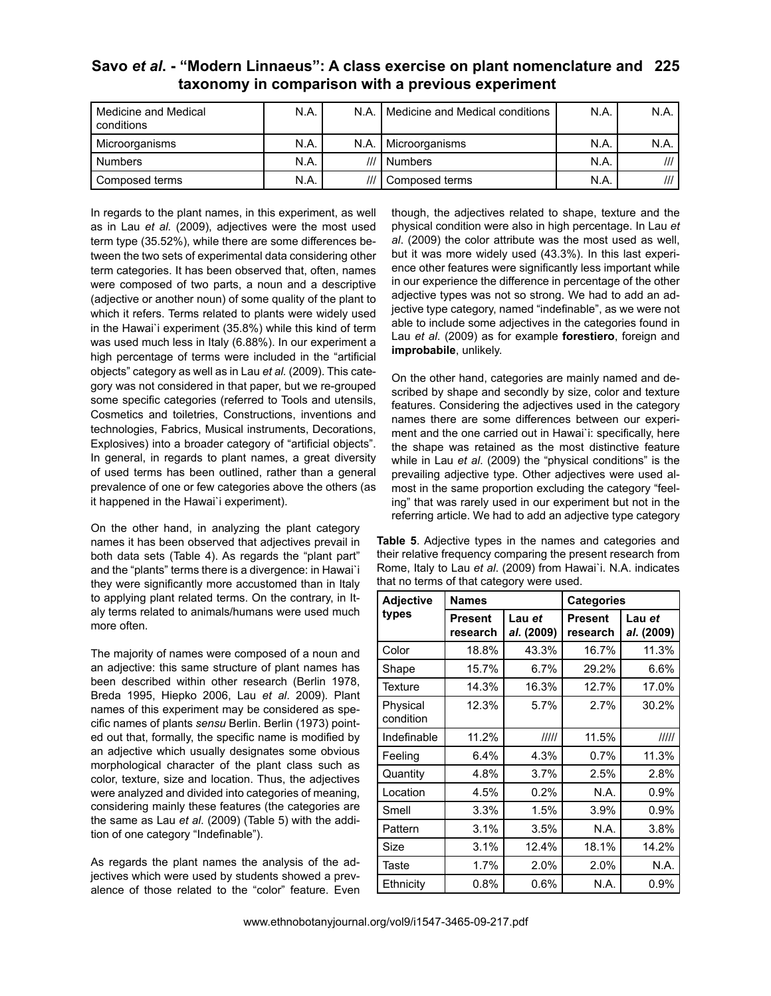| Savo et al. - "Modern Linnaeus": A class exercise on plant nomenclature and 225 |  |
|---------------------------------------------------------------------------------|--|
| taxonomy in comparison with a previous experiment                               |  |

| Medicine and Medical<br>conditions | N.A. | N.A. | Medicine and Medical conditions | N.A. | N.A. |
|------------------------------------|------|------|---------------------------------|------|------|
| Microorganisms                     | N.A. | N.A. | Microorganisms                  | N.A  | N.A. |
| <b>Numbers</b>                     | N.A. | ///  | Numbers                         | N.A  |      |
| Composed terms                     | N.A. |      | Composed terms                  | N.A  |      |

In regards to the plant names, in this experiment, as well as in Lau *et al.* (2009), adjectives were the most used term type (35.52%), while there are some differences between the two sets of experimental data considering other term categories. It has been observed that, often, names were composed of two parts, a noun and a descriptive (adjective or another noun) of some quality of the plant to which it refers. Terms related to plants were widely used in the Hawai`i experiment (35.8%) while this kind of term was used much less in Italy (6.88%). In our experiment a high percentage of terms were included in the "artificial objects" category as well as in Lau *et al.* (2009). This category was not considered in that paper, but we re-grouped some specific categories (referred to Tools and utensils, Cosmetics and toiletries, Constructions, inventions and technologies, Fabrics, Musical instruments, Decorations, Explosives) into a broader category of "artificial objects". In general, in regards to plant names, a great diversity of used terms has been outlined, rather than a general prevalence of one or few categories above the others (as it happened in the Hawai`i experiment).

On the other hand, in analyzing the plant category names it has been observed that adjectives prevail in both data sets (Table 4). As regards the "plant part" and the "plants" terms there is a divergence: in Hawai`i they were significantly more accustomed than in Italy to applying plant related terms. On the contrary, in Italy terms related to animals/humans were used much more often.

The majority of names were composed of a noun and an adjective: this same structure of plant names has been described within other research (Berlin 1978, Breda 1995, Hiepko 2006, Lau *et al*. 2009). Plant names of this experiment may be considered as specific names of plants *sensu* Berlin. Berlin (1973) pointed out that, formally, the specific name is modified by an adjective which usually designates some obvious morphological character of the plant class such as color, texture, size and location. Thus, the adjectives were analyzed and divided into categories of meaning, considering mainly these features (the categories are the same as Lau *et al*. (2009) (Table 5) with the addition of one category "Indefinable").

As regards the plant names the analysis of the adjectives which were used by students showed a prevalence of those related to the "color" feature. Even

though, the adjectives related to shape, texture and the physical condition were also in high percentage. In Lau *et al*. (2009) the color attribute was the most used as well, but it was more widely used (43.3%). In this last experience other features were significantly less important while in our experience the difference in percentage of the other adjective types was not so strong. We had to add an adjective type category, named "indefinable", as we were not able to include some adjectives in the categories found in Lau *et al*. (2009) as for example **forestiero**, foreign and **improbabile**, unlikely.

On the other hand, categories are mainly named and described by shape and secondly by size, color and texture features. Considering the adjectives used in the category names there are some differences between our experiment and the one carried out in Hawai`i: specifically, here the shape was retained as the most distinctive feature while in Lau *et al*. (2009) the "physical conditions" is the prevailing adjective type. Other adjectives were used almost in the same proportion excluding the category "feeling" that was rarely used in our experiment but not in the referring article. We had to add an adjective type category

**Table 5**. Adjective types in the names and categories and their relative frequency comparing the present research from Rome, Italy to Lau *et al*. (2009) from Hawai`i. N.A. indicates that no terms of that category were used.

| <b>Adjective</b>      | <b>Names</b>        |                      | <b>Categories</b>          |                      |  |
|-----------------------|---------------------|----------------------|----------------------------|----------------------|--|
| types                 | Present<br>research | Lau et<br>al. (2009) | <b>Present</b><br>research | Lau et<br>al. (2009) |  |
| Color                 | 18.8%               | 43.3%                | 16.7%                      | 11.3%                |  |
| Shape                 | 15.7%               | 6.7%                 | 29.2%                      | 6.6%                 |  |
| Texture               | 14.3%               | 16.3%                | 12.7%                      | 17.0%                |  |
| Physical<br>condition | 12.3%               | 5.7%                 | 2.7%                       | 30.2%                |  |
| Indefinable           | 11.2%               | IIIII                | 11.5%                      | 11111                |  |
| Feeling               | 6.4%                | 4.3%                 | 0.7%                       | 11.3%                |  |
| Quantity              | 4.8%                | 3.7%                 | 2.5%                       | 2.8%                 |  |
| Location              | 4.5%                | 0.2%                 | N.A.                       | 0.9%                 |  |
| Smell                 | 3.3%                | 1.5%                 | 3.9%                       | 0.9%                 |  |
| Pattern               | 3.1%                | 3.5%                 | N.A.                       | 3.8%                 |  |
| Size                  | 3.1%                | 12.4%                | 18.1%                      | 14.2%                |  |
| Taste                 | 1.7%                | 2.0%                 | 2.0%                       | N.A.                 |  |
| Ethnicity             | 0.8%                | 0.6%                 | N.A.                       | $0.9\%$              |  |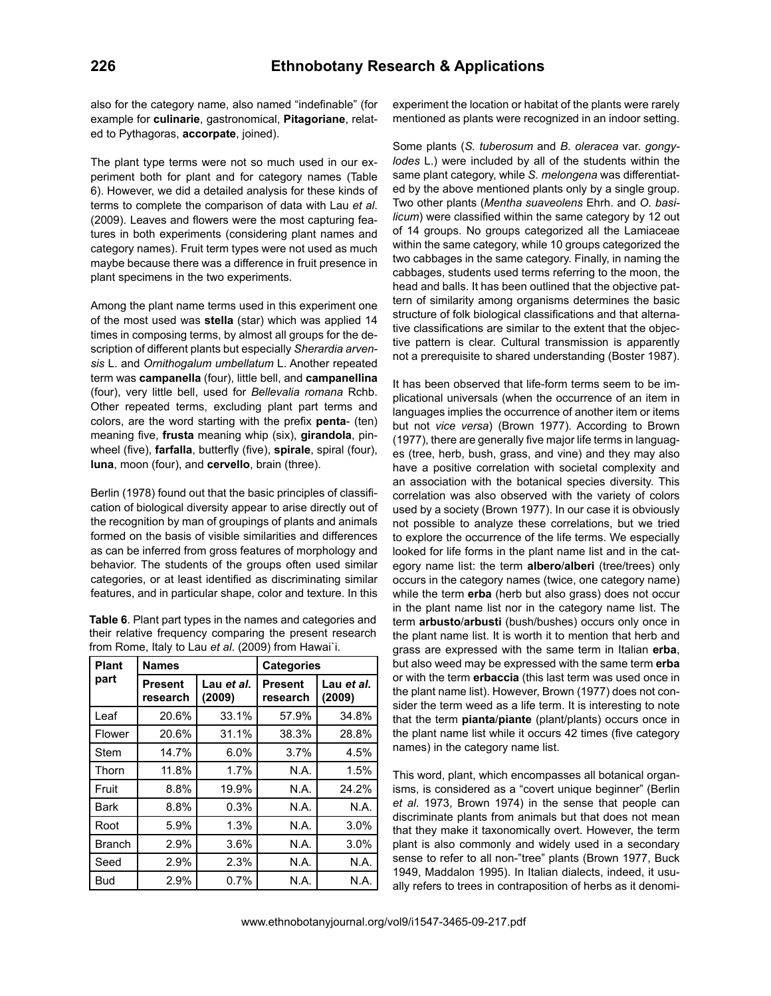also for the category name, also named "indefinable" (for example for **culinarie**, gastronomical, **Pitagoriane**, related to Pythagoras, **accorpate**, joined).

The plant type terms were not so much used in our experiment both for plant and for category names (Table 6). However, we did a detailed analysis for these kinds of terms to complete the comparison of data with Lau *et al*. (2009). Leaves and flowers were the most capturing features in both experiments (considering plant names and category names). Fruit term types were not used as much maybe because there was a difference in fruit presence in plant specimens in the two experiments.

Among the plant name terms used in this experiment one of the most used was **stella** (star) which was applied 14 times in composing terms, by almost all groups for the description of different plants but especially *Sherardia arvensis* L. and *Ornithogalum umbellatum* L. Another repeated term was **campanella** (four), little bell, and **campanellina** (four), very little bell, used for *Bellevalia romana* Rchb. Other repeated terms, excluding plant part terms and colors, are the word starting with the prefix **penta**- (ten) meaning five, **frusta** meaning whip (six), **girandola**, pinwheel (five), **farfalla**, butterfly (five), **spirale**, spiral (four), **luna**, moon (four), and **cervello**, brain (three).

Berlin (1978) found out that the basic principles of classification of biological diversity appear to arise directly out of the recognition by man of groupings of plants and animals formed on the basis of visible similarities and differences as can be inferred from gross features of morphology and behavior. The students of the groups often used similar categories, or at least identified as discriminating similar features, and in particular shape, color and texture. In this

| Table 6. Plant part types in the names and categories and |
|-----------------------------------------------------------|
| their relative frequency comparing the present research   |
| from Rome, Italy to Lau et al. (2009) from Hawai`i.       |

| <b>Plant</b>  | <b>Names</b>               |                      | <b>Categories</b>   |                      |  |
|---------------|----------------------------|----------------------|---------------------|----------------------|--|
| part          | <b>Present</b><br>research | Lau et al.<br>(2009) | Present<br>research | Lau et al.<br>(2009) |  |
| Leaf          | 20.6%                      | 33.1%                | 57.9%               | 34.8%                |  |
| Flower        | 20.6%                      | 31.1%                | 38.3%               | 28.8%                |  |
| Stem          | 14.7%                      | 6.0%                 | 3.7%                | 4.5%                 |  |
| Thorn         | 11.8%                      | 1.7%                 | N.A.                | 1.5%                 |  |
| Fruit         | 8.8%                       | 19.9%                | N.A.                | 24.2%                |  |
| Bark          | 8.8%                       | 0.3%                 | N.A.                | N.A.                 |  |
| Root          | 5.9%                       | 1.3%                 | N.A.                | 3.0%                 |  |
| <b>Branch</b> | 2.9%                       | 3.6%                 | N.A.                | 3.0%                 |  |
| Seed          | 2.9%                       | 2.3%                 | N.A.                | N.A.                 |  |
| Bud           | 2.9%                       | 0.7%                 | N.A.                | N.A.                 |  |

experiment the location or habitat of the plants were rarely mentioned as plants were recognized in an indoor setting.

Some plants (*S. tuberosum* and *B. oleracea* var. *gongylodes* L.) were included by all of the students within the same plant category, while *S. melongena* was differentiated by the above mentioned plants only by a single group. Two other plants (*Mentha suaveolens* Ehrh. and *O. basilicum*) were classified within the same category by 12 out of 14 groups. No groups categorized all the Lamiaceae within the same category, while 10 groups categorized the two cabbages in the same category. Finally, in naming the cabbages, students used terms referring to the moon, the head and balls. It has been outlined that the objective pattern of similarity among organisms determines the basic structure of folk biological classifications and that alternative classifications are similar to the extent that the objective pattern is clear. Cultural transmission is apparently not a prerequisite to shared understanding (Boster 1987).

It has been observed that life-form terms seem to be implicational universals (when the occurrence of an item in languages implies the occurrence of another item or items but not *vice versa*) (Brown 1977). According to Brown (1977), there are generally five major life terms in languages (tree, herb, bush, grass, and vine) and they may also have a positive correlation with societal complexity and an association with the botanical species diversity. This correlation was also observed with the variety of colors used by a society (Brown 1977). In our case it is obviously not possible to analyze these correlations, but we tried to explore the occurrence of the life terms. We especially looked for life forms in the plant name list and in the category name list: the term **albero**/**alberi** (tree/trees) only occurs in the category names (twice, one category name) while the term **erba** (herb but also grass) does not occur in the plant name list nor in the category name list. The term **arbusto**/**arbusti** (bush/bushes) occurs only once in the plant name list. It is worth it to mention that herb and grass are expressed with the same term in Italian **erba**, but also weed may be expressed with the same term **erba** or with the term **erbaccia** (this last term was used once in the plant name list). However, Brown (1977) does not consider the term weed as a life term. It is interesting to note that the term **pianta**/**piante** (plant/plants) occurs once in the plant name list while it occurs 42 times (five category names) in the category name list.

This word, plant, which encompasses all botanical organisms, is considered as a "covert unique beginner" (Berlin *et al*. 1973, Brown 1974) in the sense that people can discriminate plants from animals but that does not mean that they make it taxonomically overt. However, the term plant is also commonly and widely used in a secondary sense to refer to all non-"tree" plants (Brown 1977, Buck 1949, Maddalon 1995). In Italian dialects, indeed, it usually refers to trees in contraposition of herbs as it denomi-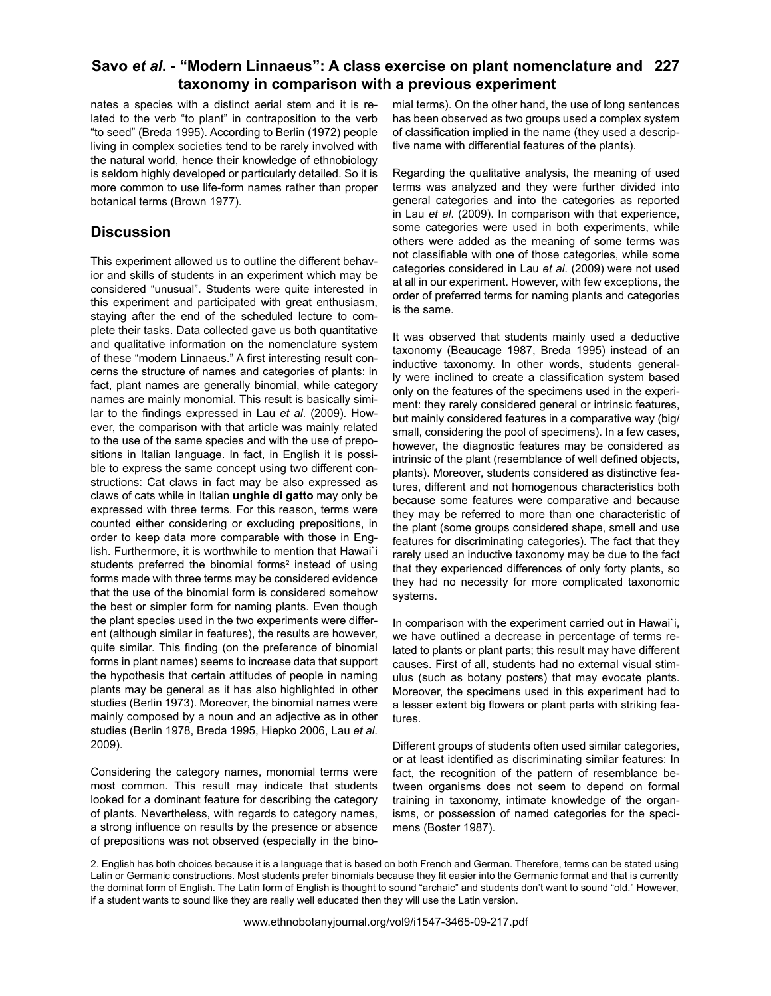#### **Savo** *et al***. - "Modern Linnaeus": A class exercise on plant nomenclature and 227 taxonomy in comparison with a previous experiment**

nates a species with a distinct aerial stem and it is related to the verb "to plant" in contraposition to the verb "to seed" (Breda 1995). According to Berlin (1972) people living in complex societies tend to be rarely involved with the natural world, hence their knowledge of ethnobiology is seldom highly developed or particularly detailed. So it is more common to use life-form names rather than proper botanical terms (Brown 1977).

### **Discussion**

This experiment allowed us to outline the different behavior and skills of students in an experiment which may be considered "unusual". Students were quite interested in this experiment and participated with great enthusiasm, staying after the end of the scheduled lecture to complete their tasks. Data collected gave us both quantitative and qualitative information on the nomenclature system of these "modern Linnaeus." A first interesting result concerns the structure of names and categories of plants: in fact, plant names are generally binomial, while category names are mainly monomial. This result is basically similar to the findings expressed in Lau *et al*. (2009). However, the comparison with that article was mainly related to the use of the same species and with the use of prepositions in Italian language. In fact, in English it is possible to express the same concept using two different constructions: Cat claws in fact may be also expressed as claws of cats while in Italian **unghie di gatto** may only be expressed with three terms. For this reason, terms were counted either considering or excluding prepositions, in order to keep data more comparable with those in English. Furthermore, it is worthwhile to mention that Hawai`i students preferred the binomial forms<sup>2</sup> instead of using forms made with three terms may be considered evidence that the use of the binomial form is considered somehow the best or simpler form for naming plants. Even though the plant species used in the two experiments were different (although similar in features), the results are however, quite similar. This finding (on the preference of binomial forms in plant names) seems to increase data that support the hypothesis that certain attitudes of people in naming plants may be general as it has also highlighted in other studies (Berlin 1973). Moreover, the binomial names were mainly composed by a noun and an adjective as in other studies (Berlin 1978, Breda 1995, Hiepko 2006, Lau *et al*. 2009).

Considering the category names, monomial terms were most common. This result may indicate that students looked for a dominant feature for describing the category of plants. Nevertheless, with regards to category names, a strong influence on results by the presence or absence of prepositions was not observed (especially in the binomial terms). On the other hand, the use of long sentences has been observed as two groups used a complex system of classification implied in the name (they used a descriptive name with differential features of the plants).

Regarding the qualitative analysis, the meaning of used terms was analyzed and they were further divided into general categories and into the categories as reported in Lau *et al*. (2009). In comparison with that experience, some categories were used in both experiments, while others were added as the meaning of some terms was not classifiable with one of those categories, while some categories considered in Lau *et al*. (2009) were not used at all in our experiment. However, with few exceptions, the order of preferred terms for naming plants and categories is the same.

It was observed that students mainly used a deductive taxonomy (Beaucage 1987, Breda 1995) instead of an inductive taxonomy. In other words, students generally were inclined to create a classification system based only on the features of the specimens used in the experiment: they rarely considered general or intrinsic features, but mainly considered features in a comparative way (big/ small, considering the pool of specimens). In a few cases, however, the diagnostic features may be considered as intrinsic of the plant (resemblance of well defined objects, plants). Moreover, students considered as distinctive features, different and not homogenous characteristics both because some features were comparative and because they may be referred to more than one characteristic of the plant (some groups considered shape, smell and use features for discriminating categories). The fact that they rarely used an inductive taxonomy may be due to the fact that they experienced differences of only forty plants, so they had no necessity for more complicated taxonomic systems.

In comparison with the experiment carried out in Hawai`i, we have outlined a decrease in percentage of terms related to plants or plant parts; this result may have different causes. First of all, students had no external visual stimulus (such as botany posters) that may evocate plants. Moreover, the specimens used in this experiment had to a lesser extent big flowers or plant parts with striking features.

Different groups of students often used similar categories, or at least identified as discriminating similar features: In fact, the recognition of the pattern of resemblance between organisms does not seem to depend on formal training in taxonomy, intimate knowledge of the organisms, or possession of named categories for the specimens (Boster 1987).

2. English has both choices because it is a language that is based on both French and German. Therefore, terms can be stated using Latin or Germanic constructions. Most students prefer binomials because they fit easier into the Germanic format and that is currently the dominat form of English. The Latin form of English is thought to sound "archaic" and students don't want to sound "old." However, if a student wants to sound like they are really well educated then they will use the Latin version.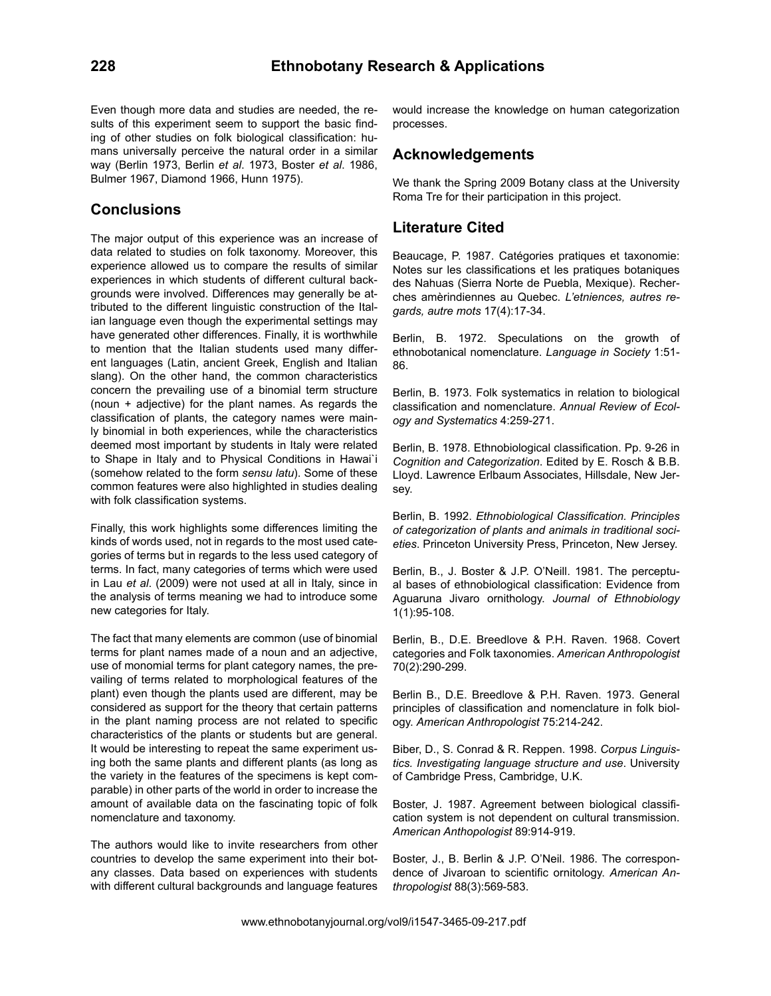Even though more data and studies are needed, the results of this experiment seem to support the basic finding of other studies on folk biological classification: humans universally perceive the natural order in a similar way (Berlin 1973, Berlin *et al*. 1973, Boster *et al*. 1986, Bulmer 1967, Diamond 1966, Hunn 1975).

### **Conclusions**

The major output of this experience was an increase of data related to studies on folk taxonomy. Moreover, this experience allowed us to compare the results of similar experiences in which students of different cultural backgrounds were involved. Differences may generally be attributed to the different linguistic construction of the Italian language even though the experimental settings may have generated other differences. Finally, it is worthwhile to mention that the Italian students used many different languages (Latin, ancient Greek, English and Italian slang). On the other hand, the common characteristics concern the prevailing use of a binomial term structure (noun + adjective) for the plant names. As regards the classification of plants, the category names were mainly binomial in both experiences, while the characteristics deemed most important by students in Italy were related to Shape in Italy and to Physical Conditions in Hawai`i (somehow related to the form *sensu latu*). Some of these common features were also highlighted in studies dealing with folk classification systems.

Finally, this work highlights some differences limiting the kinds of words used, not in regards to the most used categories of terms but in regards to the less used category of terms. In fact, many categories of terms which were used in Lau *et al*. (2009) were not used at all in Italy, since in the analysis of terms meaning we had to introduce some new categories for Italy.

The fact that many elements are common (use of binomial terms for plant names made of a noun and an adjective, use of monomial terms for plant category names, the prevailing of terms related to morphological features of the plant) even though the plants used are different, may be considered as support for the theory that certain patterns in the plant naming process are not related to specific characteristics of the plants or students but are general. It would be interesting to repeat the same experiment using both the same plants and different plants (as long as the variety in the features of the specimens is kept comparable) in other parts of the world in order to increase the amount of available data on the fascinating topic of folk nomenclature and taxonomy.

The authors would like to invite researchers from other countries to develop the same experiment into their botany classes. Data based on experiences with students with different cultural backgrounds and language features would increase the knowledge on human categorization processes.

#### **Acknowledgements**

We thank the Spring 2009 Botany class at the University Roma Tre for their participation in this project.

#### **Literature Cited**

Beaucage, P. 1987. Catégories pratiques et taxonomie: Notes sur les classifications et les pratiques botaniques des Nahuas (Sierra Norte de Puebla, Mexique). Recherches amèrindiennes au Quebec. *L'etniences, autres regards, autre mots* 17(4):17-34.

Berlin, B. 1972. Speculations on the growth of ethnobotanical nomenclature. *Language in Society* 1:51- 86.

Berlin, B. 1973. Folk systematics in relation to biological classification and nomenclature. *Annual Review of Ecology and Systematics* 4:259-271.

Berlin, B. 1978. Ethnobiological classification. Pp. 9-26 in *Cognition and Categorization*. Edited by E. Rosch & B.B. Lloyd. Lawrence Erlbaum Associates, Hillsdale, New Jersey.

Berlin, B. 1992. *Ethnobiological Classification. Principles of categorization of plants and animals in traditional societies*. Princeton University Press, Princeton, New Jersey.

Berlin, B., J. Boster & J.P. O'Neill. 1981. The perceptual bases of ethnobiological classification: Evidence from Aguaruna Jivaro ornithology. *Journal of Ethnobiology*  1(1):95-108.

Berlin, B., D.E. Breedlove & P.H. Raven. 1968. Covert categories and Folk taxonomies. *American Anthropologist* 70(2):290-299.

Berlin B., D.E. Breedlove & P.H. Raven. 1973. General principles of classification and nomenclature in folk biology. *American Anthropologist* 75:214-242.

Biber, D., S. Conrad & R. Reppen. 1998. *Corpus Linguistics. Investigating language structure and use*. University of Cambridge Press, Cambridge, U.K.

Boster, J. 1987. Agreement between biological classification system is not dependent on cultural transmission. *American Anthopologist* 89:914-919.

Boster, J., B. Berlin & J.P. O'Neil. 1986. The correspondence of Jivaroan to scientific ornitology. *American Anthropologist* 88(3):569-583.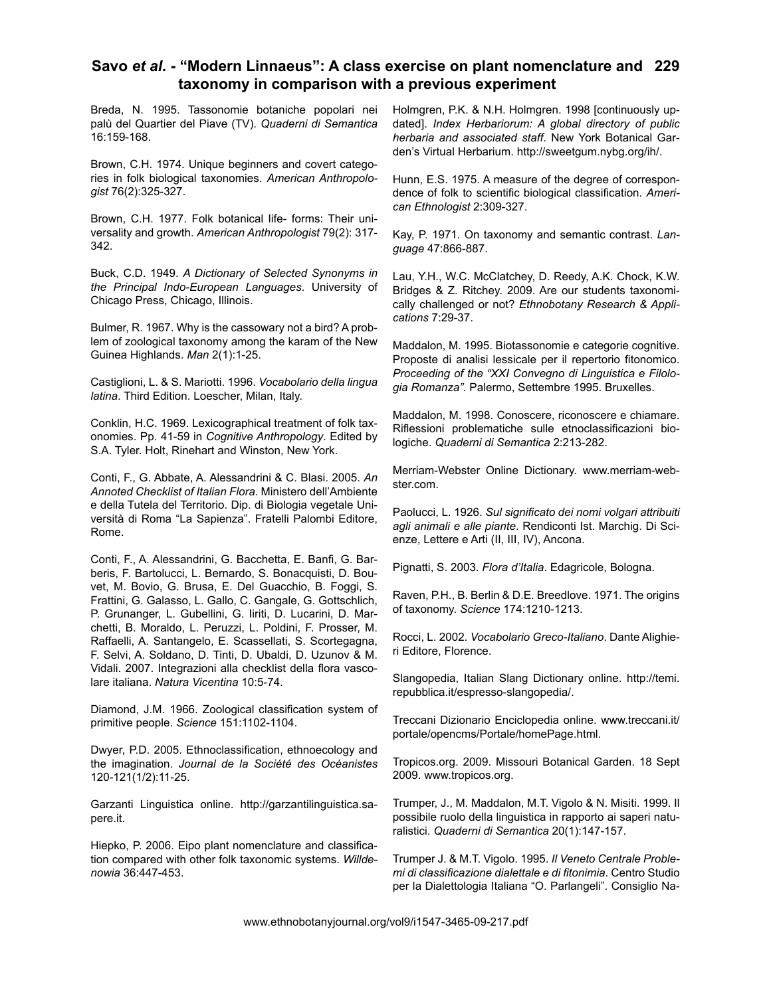#### **Savo** *et al***. - "Modern Linnaeus": A class exercise on plant nomenclature and 229 taxonomy in comparison with a previous experiment**

Breda, N. 1995. Tassonomie botaniche popolari nei palù del Quartier del Piave (TV). *Quaderni di Semantica* 16:159-168.

Brown, C.H. 1974. Unique beginners and covert categories in folk biological taxonomies. *American Anthropologist* 76(2):325-327.

Brown, C.H. 1977. Folk botanical life- forms: Their universality and growth. *American Anthropologist* 79(2): 317- 342.

Buck, C.D. 1949. *A Dictionary of Selected Synonyms in the Principal Indo-European Languages*. University of Chicago Press, Chicago, Illinois.

Bulmer, R. 1967. Why is the cassowary not a bird? A problem of zoological taxonomy among the karam of the New Guinea Highlands. *Man* 2(1):1-25.

Castiglioni, L. & S. Mariotti. 1996. *Vocabolario della lingua latina*. Third Edition. Loescher, Milan, Italy.

Conklin, H.C. 1969. Lexicographical treatment of folk taxonomies. Pp. 41-59 in *Cognitive Anthropology*. Edited by S.A. Tyler. Holt, Rinehart and Winston, New York.

Conti, F., G. Abbate, A. Alessandrini & C. Blasi. 2005. *An Annoted Checklist of Italian Flora*. Ministero dell'Ambiente e della Tutela del Territorio. Dip. di Biologia vegetale Università di Roma "La Sapienza". Fratelli Palombi Editore, Rome.

Conti, F., A. Alessandrini, G. Bacchetta, E. Banfi, G. Barberis, F. Bartolucci, L. Bernardo, S. Bonacquisti, D. Bouvet, M. Bovio, G. Brusa, E. Del Guacchio, B. Foggi, S. Frattini, G. Galasso, L. Gallo, C. Gangale, G. Gottschlich, P. Grunanger, L. Gubellini, G. Iiriti, D. Lucarini, D. Marchetti, B. Moraldo, L. Peruzzi, L. Poldini, F. Prosser, M. Raffaelli, A. Santangelo, E. Scassellati, S. Scortegagna, F. Selvi, A. Soldano, D. Tinti, D. Ubaldi, D. Uzunov & M. Vidali. 2007. Integrazioni alla checklist della flora vascolare italiana. *Natura Vicentina* 10:5-74.

Diamond, J.M. 1966. Zoological classification system of primitive people. *Science* 151:1102-1104.

Dwyer, P.D. 2005. Ethnoclassification, ethnoecology and the imagination. *Journal de la Société des Océanistes*  120-121(1/2):11-25.

Garzanti Linguistica online. http://garzantilinguistica.sapere.it.

Hiepko, P. 2006. Eipo plant nomenclature and classification compared with other folk taxonomic systems. *Willdenowia* 36:447-453.

Holmgren, P.K. & N.H. Holmgren. 1998 [continuously updated]. *Index Herbariorum: A global directory of public herbaria and associated staff*. New York Botanical Garden's Virtual Herbarium. http://sweetgum.nybg.org/ih/.

Hunn, E.S. 1975. A measure of the degree of correspondence of folk to scientific biological classification. *American Ethnologist* 2:309-327.

Kay, P. 1971. On taxonomy and semantic contrast. *Language* 47:866-887.

Lau, Y.H., W.C. McClatchey, D. Reedy, A.K. Chock, K.W. Bridges & Z. Ritchey. 2009. Are our students taxonomically challenged or not? *Ethnobotany Research & Applications* 7:29-37.

Maddalon, M. 1995. Biotassonomie e categorie cognitive. Proposte di analisi lessicale per il repertorio fitonomico. *Proceeding of the "XXI Convegno di Linguistica e Filologia Romanza"*. Palermo, Settembre 1995. Bruxelles.

Maddalon, M. 1998. Conoscere, riconoscere e chiamare. Riflessioni problematiche sulle etnoclassificazioni biologiche. *Quaderni di Semantica* 2:213-282.

Merriam-Webster Online Dictionary. www.merriam-webster.com.

Paolucci, L. 1926. *Sul significato dei nomi volgari attribuiti agli animali e alle piante*. Rendiconti Ist. Marchig. Di Scienze, Lettere e Arti (II, III, IV), Ancona.

Pignatti, S. 2003. *Flora d'Italia*. Edagricole, Bologna.

Raven, P.H., B. Berlin & D.E. Breedlove. 1971. The origins of taxonomy. *Science* 174:1210-1213.

Rocci, L. 2002. *Vocabolario Greco-Italiano*. Dante Alighieri Editore, Florence.

Slangopedia, Italian Slang Dictionary online. http://temi. repubblica.it/espresso-slangopedia/.

Treccani Dizionario Enciclopedia online. www.treccani.it/ portale/opencms/Portale/homePage.html.

Tropicos.org. 2009. Missouri Botanical Garden. 18 Sept 2009. www.tropicos.org.

Trumper, J., M. Maddalon, M.T. Vigolo & N. Misiti. 1999. Il possibile ruolo della linguistica in rapporto ai saperi naturalistici. *Quaderni di Semantica* 20(1):147-157.

Trumper J. & M.T. Vigolo. 1995. *Il Veneto Centrale Problemi di classificazione dialettale e di fitonimia*. Centro Studio per la Dialettologia Italiana "O. Parlangeli". Consiglio Na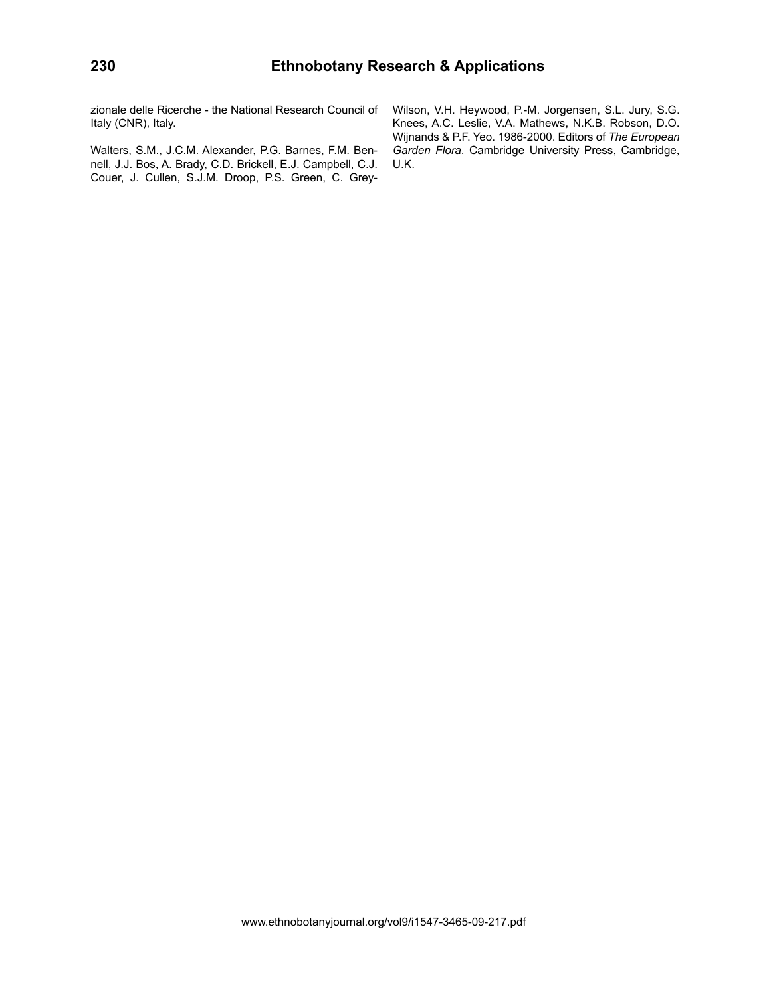zionale delle Ricerche - the National Research Council of Italy (CNR), Italy.

Walters, S.M., J.C.M. Alexander, P.G. Barnes, F.M. Bennell, J.J. Bos, A. Brady, C.D. Brickell, E.J. Campbell, C.J. Couer, J. Cullen, S.J.M. Droop, P.S. Green, C. GreyWilson, V.H. Heywood, P.-M. Jorgensen, S.L. Jury, S.G. Knees, A.C. Leslie, V.A. Mathews, N.K.B. Robson, D.O. Wijnands & P.F. Yeo. 1986-2000. Editors of *The European Garden Flora*. Cambridge University Press, Cambridge, U.K.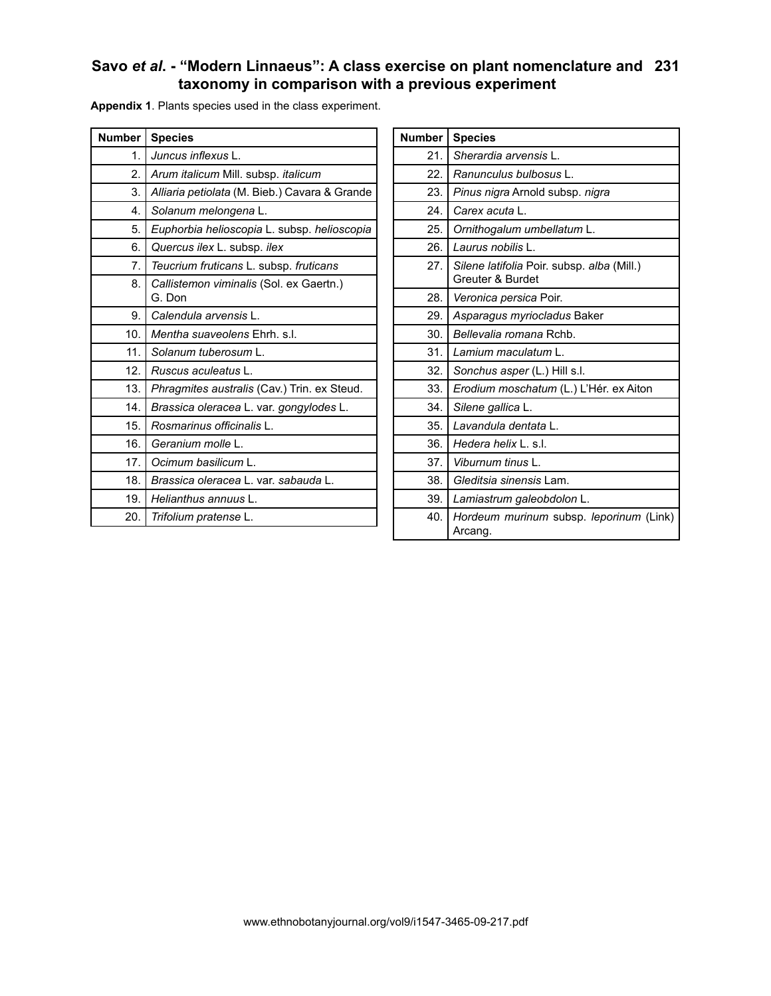# **Savo** *et al***. - "Modern Linnaeus": A class exercise on plant nomenclature and 231 taxonomy in comparison with a previous experiment**

| <b>Number</b> | <b>Species</b>                                    |
|---------------|---------------------------------------------------|
| 1.            | Juncus inflexus L.                                |
| 2.            | Arum italicum Mill. subsp. italicum               |
| 3.            | Alliaria petiolata (M. Bieb.) Cavara & Grande     |
| 4.            | Solanum melongena L.                              |
| 5.            | Euphorbia helioscopia L. subsp. helioscopia       |
| 6.            | Quercus ilex L. subsp. ilex                       |
| 7.            | Teucrium fruticans L. subsp. fruticans            |
| 8.            | Callistemon viminalis (Sol. ex Gaertn.)<br>G. Don |
| 9.            | Calendula arvensis L.                             |
| 10.           | Mentha suaveolens Ehrh. s.l.                      |
| 11.           | Solanum tuberosum L.                              |
| 12.           | Ruscus aculeatus L.                               |
| 13.           | Phragmites australis (Cav.) Trin. ex Steud.       |
| 14.           | Brassica oleracea L. var. gongylodes L.           |
| 15.           | Rosmarinus officinalis L.                         |
| 16.           | Geranium molle L.                                 |
| 17.           | Ocimum basilicum L.                               |
| 18.           | Brassica oleracea L. var. sabauda L.              |
| 19.           | Helianthus annuus L.                              |
| 20.           | Trifolium pratense L.                             |

**Appendix 1**. Plants species used in the class experiment.

| <b>Number</b> | <b>Species</b>                                                 |
|---------------|----------------------------------------------------------------|
| 21.           | Sherardia arvensis L.                                          |
| 22.           | Ranunculus bulbosus L.                                         |
| 23.           | Pinus nigra Arnold subsp. nigra                                |
| 24.           | Carex acuta L.                                                 |
| 25.           | Ornithogalum umbellatum L.                                     |
| 26.           | Laurus nobilis L.                                              |
| 27.           | Silene latifolia Poir. subsp. alba (Mill.)<br>Greuter & Burdet |
| 28.           | <i>Veronica persica</i> Poir.                                  |
| 29.           | Asparagus myriocladus Baker                                    |
| 30.           | Bellevalia romana Rchb.                                        |
| 31.           | Lamium maculatum L.                                            |
| 32.           | Sonchus asper (L.) Hill s.l.                                   |
| 33.           | Erodium moschatum (L.) L'Hér. ex Aiton                         |
| 34.           | Silene gallica L.                                              |
| 35.           | Lavandula dentata L.                                           |
| 36.           | Hedera helix L. s.l.                                           |
| 37.           | Viburnum tinus L.                                              |
| 38.           | Gleditsia sinensis Lam.                                        |
| 39.           | Lamiastrum galeobdolon L.                                      |
| 40.           | Hordeum murinum subsp. leporinum (Link)<br>Arcang.             |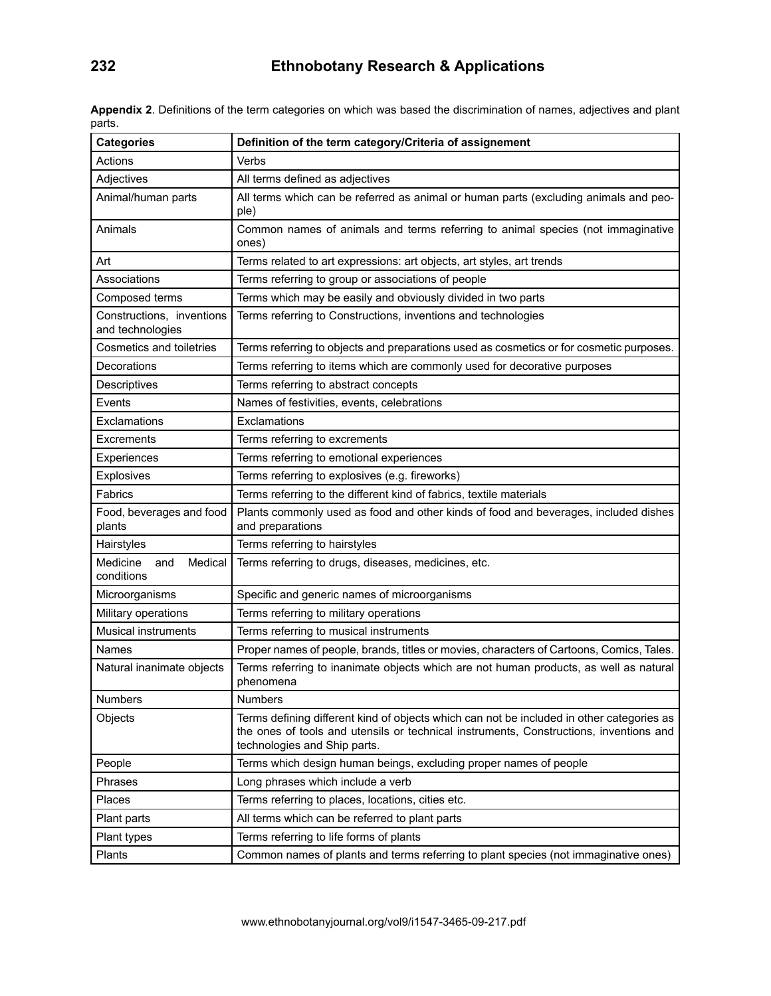| <b>Categories</b>                             | Definition of the term category/Criteria of assignement                                                                                                                                                             |
|-----------------------------------------------|---------------------------------------------------------------------------------------------------------------------------------------------------------------------------------------------------------------------|
| Actions                                       | Verbs                                                                                                                                                                                                               |
| Adjectives                                    | All terms defined as adjectives                                                                                                                                                                                     |
| Animal/human parts                            | All terms which can be referred as animal or human parts (excluding animals and peo-<br>ple)                                                                                                                        |
| Animals                                       | Common names of animals and terms referring to animal species (not immaginative<br>ones)                                                                                                                            |
| Art                                           | Terms related to art expressions: art objects, art styles, art trends                                                                                                                                               |
| Associations                                  | Terms referring to group or associations of people                                                                                                                                                                  |
| Composed terms                                | Terms which may be easily and obviously divided in two parts                                                                                                                                                        |
| Constructions, inventions<br>and technologies | Terms referring to Constructions, inventions and technologies                                                                                                                                                       |
| Cosmetics and toiletries                      | Terms referring to objects and preparations used as cosmetics or for cosmetic purposes.                                                                                                                             |
| Decorations                                   | Terms referring to items which are commonly used for decorative purposes                                                                                                                                            |
| Descriptives                                  | Terms referring to abstract concepts                                                                                                                                                                                |
| Events                                        | Names of festivities, events, celebrations                                                                                                                                                                          |
| Exclamations                                  | Exclamations                                                                                                                                                                                                        |
| Excrements                                    | Terms referring to excrements                                                                                                                                                                                       |
| Experiences                                   | Terms referring to emotional experiences                                                                                                                                                                            |
| Explosives                                    | Terms referring to explosives (e.g. fireworks)                                                                                                                                                                      |
| Fabrics                                       | Terms referring to the different kind of fabrics, textile materials                                                                                                                                                 |
| Food, beverages and food<br>plants            | Plants commonly used as food and other kinds of food and beverages, included dishes<br>and preparations                                                                                                             |
| Hairstyles                                    | Terms referring to hairstyles                                                                                                                                                                                       |
| Medicine<br>Medical<br>and<br>conditions      | Terms referring to drugs, diseases, medicines, etc.                                                                                                                                                                 |
| Microorganisms                                | Specific and generic names of microorganisms                                                                                                                                                                        |
| Military operations                           | Terms referring to military operations                                                                                                                                                                              |
| <b>Musical instruments</b>                    | Terms referring to musical instruments                                                                                                                                                                              |
| Names                                         | Proper names of people, brands, titles or movies, characters of Cartoons, Comics, Tales.                                                                                                                            |
| Natural inanimate objects                     | Terms referring to inanimate objects which are not human products, as well as natural<br>phenomena                                                                                                                  |
| Numbers                                       | Numbers                                                                                                                                                                                                             |
| Objects                                       | Terms defining different kind of objects which can not be included in other categories as<br>the ones of tools and utensils or technical instruments, Constructions, inventions and<br>technologies and Ship parts. |
| People                                        | Terms which design human beings, excluding proper names of people                                                                                                                                                   |
| Phrases                                       | Long phrases which include a verb                                                                                                                                                                                   |
| Places                                        | Terms referring to places, locations, cities etc.                                                                                                                                                                   |
| Plant parts                                   | All terms which can be referred to plant parts                                                                                                                                                                      |
| Plant types                                   | Terms referring to life forms of plants                                                                                                                                                                             |
| Plants                                        | Common names of plants and terms referring to plant species (not immaginative ones)                                                                                                                                 |

**Appendix 2**. Definitions of the term categories on which was based the discrimination of names, adjectives and plant parts.